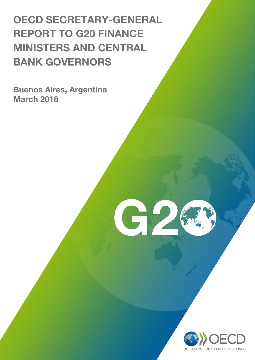# OECD SECRETARY-GENERAL REPORT TO G20 FINANCE MINISTERS AND CENTRAL BANK GOVERNORS

G2

Buenos Aires, Argentina March 2018

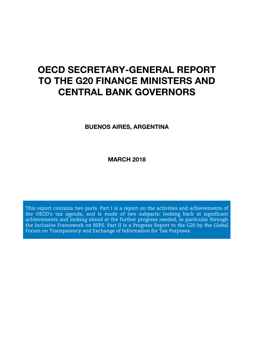## OECD SECRETARY-GENERAL REPORT TO THE G20 FINANCE MINISTERS AND CENTRAL BANK GOVERNORS

BUENOS AIRES, ARGENTINA

MARCH 2018

This report contains two parts. Part I is a report on the activities and achievements of the OECD's tax agenda, and is made of two subparts: looking back at significant achievements and looking ahead at the further progress needed, in particular through the Inclusive Framework on BEPS. Part II is a Progress Report to the G20 by the Global Forum on Transparency and Exchange of Information for Tax Purposes.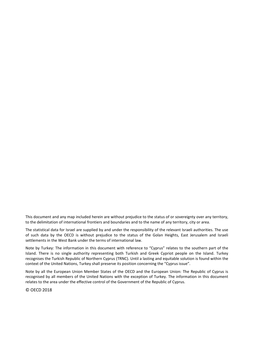This document and any map included herein are without prejudice to the status of or sovereignty over any territory, to the delimitation of international frontiers and boundaries and to the name of any territory, city or area.

The statistical data for Israel are supplied by and under the responsibility of the relevant Israeli authorities. The use of such data by the OECD is without prejudice to the status of the Golan Heights, East Jerusalem and Israeli settlements in the West Bank under the terms of international law.

Note by Turkey: The information in this document with reference to "Cyprus" relates to the southern part of the Island. There is no single authority representing both Turkish and Greek Cypriot people on the Island. Turkey recognises the Turkish Republic of Northern Cyprus (TRNC). Until a lasting and equitable solution is found within the context of the United Nations, Turkey shall preserve its position concerning the "Cyprus issue".

Note by all the European Union Member States of the OECD and the European Union: The Republic of Cyprus is recognised by all members of the United Nations with the exception of Turkey. The information in this document relates to the area under the effective control of the Government of the Republic of Cyprus.

© OECD 2018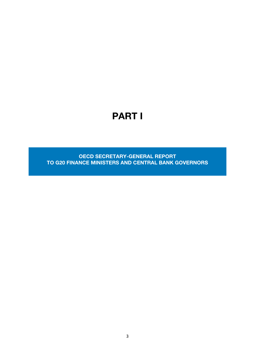## PART I

OECD SECRETARY-GENERAL REPORT TO G20 FINANCE MINISTERS AND CENTRAL BANK GOVERNORS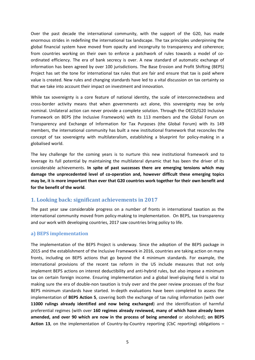Over the past decade the international community, with the support of the G20, has made enormous strides in redefining the international tax landscape. The tax principles underpinning the global financial system have moved from opacity and incongruity to transparency and coherence; from countries working on their own to enforce a patchwork of rules towards a model of coordinated efficiency. The era of bank secrecy is over. A new standard of automatic exchange of information has been agreed by over 100 jurisdictions. The Base Erosion and Profit Shifting (BEPS) Project has set the tone for international tax rules that are fair and ensure that tax is paid where value is created. New rules and changing standards have led to a vital discussion on tax certainty so that we take into account their impact on investment and innovation.

While tax sovereignty is a core feature of national identity, the scale of interconnectedness and cross-border activity means that when governments act alone, this sovereignty may be only nominal. Unilateral action can never provide a complete solution. Through the OECD/G20 Inclusive Framework on BEPS (the Inclusive Framework) with its 113 members and the Global Forum on Transparency and Exchange of Information for Tax Purposes (the Global Forum) with its 149 members, the international community has built a new institutional framework that reconciles the concept of tax sovereignty with multilateralism, establishing a blueprint for policy-making in a globalised world.

The key challenge for the coming years is to nurture this new institutional framework and to leverage its full potential by maintaining the multilateral dynamic that has been the driver of its considerable achievements. **In spite of past successes there are emerging tensions which may damage the unprecedented level of co-operation and, however difficult these emerging topics may be, it is more important than ever that G20 countries work together for their own benefit and for the benefit of the world**.

#### **1. Looking back: significant achievements in 2017**

The past year saw considerable progress on a number of fronts in international taxation as the international community moved from policy-making to implementation. On BEPS, tax transparency and our work with developing countries, 2017 saw countries bring policy to life.

#### **a) BEPS implementation**

The implementation of the BEPS Project is underway. Since the adoption of the BEPS package in 2015 and the establishment of the Inclusive Framework in 2016, countries are taking action on many fronts, including on BEPS actions that go beyond the 4 minimum standards. For example, the international provisions of the recent tax reform in the US include measures that not only implement BEPS actions on interest deductibility and anti-hybrid rules, but also impose a minimum tax on certain foreign income. Ensuring implementation and a global level-playing field is vital to making sure the era of double-non taxation is truly over and the peer review processes of the four BEPS minimum standards have started. In-depth evaluations have been completed to assess the implementation of **BEPS Action 5**, covering both the exchange of tax ruling information (with over **11000 rulings already identified and now being exchanged**) and the identification of harmful preferential regimes (with over **160 regimes already reviewed, many of which have already been amended, and over 90 which are now in the process of being amended** or abolished); **on BEPS Action 13**, on the implementation of Country-by-Country reporting (CbC reporting) obligations –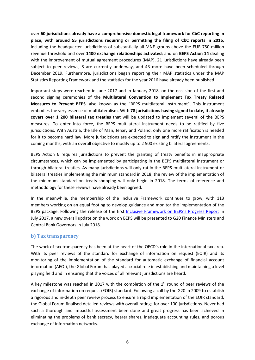over **60 jurisdictions already have a comprehensive domestic legal framework for CbC reporting in place, with around 55 jurisdictions requiring or permitting the filing of CbC reports in 2016**, including the headquarter jurisdictions of substantially all MNE groups above the EUR 750 million revenue threshold and over **1400 exchange relationships activated**; and on **BEPS Action 14** dealing with the improvement of mutual agreement procedures (MAP), 21 jurisdictions have already been subject to peer reviews, 8 are currently underway, and 43 more have been scheduled through December 2019. Furthermore, jurisdictions began reporting their MAP statistics under the MAP Statistics Reporting Framework and the statistics for the year 2016 have already been published.

Important steps were reached in June 2017 and in January 2018, on the occasion of the first and second signing ceremonies of the **Multilateral Convention to Implement Tax Treaty Related Measures to Prevent BEPS**, also known as the "BEPS multilateral instrument". This instrument embodies the very essence of multilateralism. With **78 jurisdictions having signed to date, it already covers over 1 200 bilateral tax treaties** that will be updated to implement several of the BEPS measures. To enter into force, the BEPS multilateral instrument needs to be ratified by five jurisdictions. With Austria, the Isle of Man, Jersey and Poland, only one more ratification is needed for it to become hard law. More jurisdictions are expected to sign and ratify the instrument in the coming months, with an overall objective to modify up to 2 500 existing bilateral agreements.

BEPS Action 6 requires jurisdictions to prevent the granting of treaty benefits in inappropriate circumstances, which can be implemented by participating in the BEPS multilateral instrument or through bilateral treaties. As many jurisdictions will only ratify the BEPS multilateral instrument or bilateral treaties implementing the minimum standard in 2018, the review of the implementation of the minimum standard on treaty-shopping will only begin in 2018. The terms of reference and methodology for these reviews have already been agreed.

In the meanwhile, the membership of the Inclusive Framework continues to grow, with 113 members working on an equal footing to develop guidance and monitor the implementation of the BEPS package. Following the release of the first Inclusive Framework [on BEPS's Progress Report](http://www.oecd.org/tax/beps/beps-inclusive-framework-progress-report-june-2016-july-2017.htm) in July 2017, a new overall update on the work on BEPS will be presented to G20 Finance Ministers and Central Bank Governors in July 2018.

#### **b) Tax transparency**

The work of tax transparency has been at the heart of the OECD's role in the international tax area. With its peer reviews of the standard for exchange of information on request (EOIR) and its monitoring of the implementation of the standard for automatic exchange of financial account information (AEOI), the Global Forum has played a crucial role in establishing and maintaining a level playing field and in ensuring that the voices of all relevant jurisdictions are heard.

A key milestone was reached in 2017 with the completion of the  $1<sup>st</sup>$  round of peer reviews of the exchange of information on request (EOIR) standard. Following a call by the G20 in 2009 to establish a rigorous and in-depth peer review process to ensure a rapid implementation of the EOIR standard, the Global Forum finalised detailed reviews with overall ratings for over 100 jurisdictions. Never had such a thorough and impactful assessment been done and great progress has been achieved in eliminating the problems of bank secrecy, bearer shares, inadequate accounting rules, and porous exchange of information networks.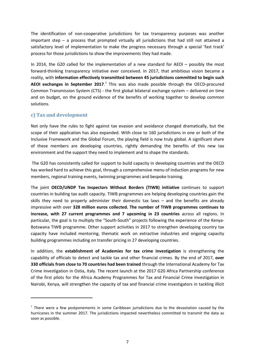The identification of non-cooperative jurisdictions for tax transparency purposes was another important step – a process that prompted virtually all jurisdictions that had still not attained a satisfactory level of implementation to make the progress necessary through a special 'fast track' process for those jurisdictions to show the improvements they had made.

In 2014, the G20 called for the implementation of a new standard for AEOI – possibly the most forward-thinking transparency initiative ever conceived. In 2017, that ambitious vision became a reality, with **information effectively transmitted between 45 jurisdictions committed to begin such AEOI exchanges in September 2017**. [1](#page-8-0) This was also made possible through the OECD-procured Common Transmission System (CTS) - the first global bilateral exchange system – delivered on time and on budget, on the ground evidence of the benefits of working together to develop common solutions.

#### **c) Tax and development**

**.** 

Not only have the rules to fight against tax evasion and avoidance changed dramatically, but the scope of their application has also expanded. With close to 160 jurisdictions in one or both of the Inclusive Framework and the Global Forum, the playing field is now truly global. A significant share of these members are developing countries, rightly demanding the benefits of this new tax environment and the support they need to implement and to shape the standards.

The G20 has consistently called for support to build capacity in developing countries and the OECD has worked hard to achieve this goal, through a comprehensive menu of induction programs for new members, regional training events, twinning programmes and bespoke training.

The joint **OECD/UNDP Tax Inspectors Without Borders (TIWB) initiative** continues to support countries in building tax audit capacity. TIWB programmes are helping developing countries gain the skills they need to properly administer their domestic tax laws – and the benefits are already impressive with over **328 million euros collected. The number of TIWB programmes continues to increase, with 27 current programmes and 7 upcoming in 23 countries** across all regions. In particular, the goal is to multiply the "South-South" projects following the experience of the Kenya-Botswana TIWB programme. Other support activities in 2017 to strengthen developing country tax capacity have included mentoring, thematic work on extractive industries and ongoing capacity building programmes including on transfer pricing in 27 developing countries.

In addition, the **establishment of Academies for tax crime investigation** is strengthening the capability of officials to detect and tackle tax and other financial crimes. By the end of 2017, **over 330 officials from close to 70 countries had been trained** through the International Academy for Tax Crime Investigation in Ostia, Italy. The recent launch at the 2017 G20 Africa Partnership conference of the first pilots for the Africa Academy Programmes for Tax and Financial Crime Investigation in Nairobi, Kenya, will strengthen the capacity of tax and financial crime investigators in tackling illicit

<span id="page-8-0"></span> $1$  There were a few postponements in some Caribbean jurisdictions due to the devastation caused by the hurricanes in the summer 2017. The jurisdictions impacted nevertheless committed to transmit the data as soon as possible.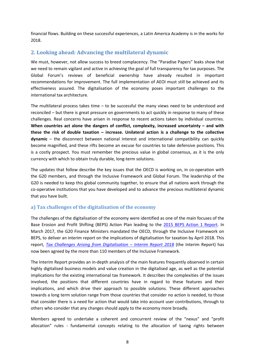financial flows. Building on these successful experiences, a Latin America Academy is in the works for 2018.

#### **2. Looking ahead: Advancing the multilateral dynamic**

We must, however, not allow success to breed complacency. The "Paradise Papers" leaks show that we need to remain vigilant and active in achieving the goal of full transparency for tax purposes. The Global Forum's reviews of beneficial ownership have already resulted in important recommendations for improvement. The full implementation of AEOI must still be achieved and its effectiveness assured. The digitalisation of the economy poses important challenges to the international tax architecture.

The multilateral process takes time – to be successful the many views need to be understood and reconciled – but there is great pressure on governments to act quickly in response to many of these challenges. Real concerns have arisen in response to recent actions taken by individual countries. **When countries act alone the dangers of conflict, complexity, increased uncertainty – and with these the risk of double taxation – increase. Unilateral action is a challenge to the collective dynamic** – the disconnect between national interest and international compatibility can quickly become magnified, and these rifts become an excuse for countries to take defensive positions. This is a costly prospect. You must remember the precious value in global consensus, as it is the only currency with which to obtain truly durable, long-term solutions.

The updates that follow describe the key issues that the OECD is working on, in co-operation with the G20 members, and through the Inclusive Framework and Global Forum. The leadership of the G20 is needed to keep this global community together, to ensure that all nations work through the co-operative institutions that you have developed and to advance the precious multilateral dynamic that you have built.

#### **a) Tax challenges of the digitalisation of the economy**

The challenges of the digitalisation of the economy were identified as one of the main focuses of the Base Erosion and Profit Shifting (BEPS) Action Plan leading to the [2015 BEPS Action 1 Report.](http://www.oecd.org/ctp/addressing-the-tax-challenges-of-the-digital-economy-action-1-2015-final-report-9789264241046-en.htm) In March 2017, the G20 Finance Ministers mandated the OECD, through the Inclusive Framework on BEPS, to deliver an interim report on the implications of digitalisation for taxation by April 2018. This report, *[Tax Challenges Arising from Digitalisation –](http://www.oecd.org/tax/tax-challenges-arising-from-digitalisation-interim-report-9789264293083-en.htm) Interim Report 2018* (the Interim Report) has now been agreed by the more than 110 members of the Inclusive Framework.

The Interim Report provides an in-depth analysis of the main features frequently observed in certain highly digitalised business models and value creation in the digitalised age, as well as the potential implications for the existing international tax framework. It describes the complexities of the issues involved, the positions that different countries have in regard to these features and their implications, and which drive their approach to possible solutions. These different approaches towards a long term solution range from those countries that consider no action is needed, to those that consider there is a need for action that would take into account user contributions, through to others who consider that any changes should apply to the economy more broadly.

Members agreed to undertake a coherent and concurrent review of the "nexus" and "profit allocation" rules - fundamental concepts relating to the allocation of taxing rights between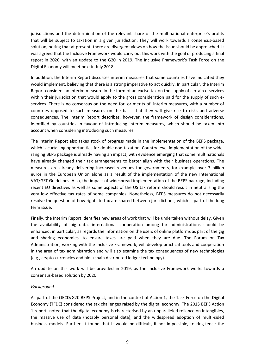jurisdictions and the determination of the relevant share of the multinational enterprise's profits that will be subject to taxation in a given jurisdiction. They will work towards a consensus-based solution, noting that at present, there are divergent views on how the issue should be approached. It was agreed that the Inclusive Framework would carry out this work with the goal of producing a final report in 2020, with an update to the G20 in 2019. The Inclusive Framework's Task Force on the Digital Economy will meet next in July 2018.

In addition, the Interim Report discusses interim measures that some countries have indicated they would implement, believing that there is a strong imperative to act quickly. In particular, the Interim Report considers an interim measure in the form of an excise tax on the supply of certain e-services within their jurisdiction that would apply to the gross consideration paid for the supply of such eservices. There is no consensus on the need for, or merits of, interim measures, with a number of countries opposed to such measures on the basis that they will give rise to risks and adverse consequences. The Interim Report describes, however, the framework of design considerations, identified by countries in favour of introducing interim measures, which should be taken into account when considering introducing such measures.

The Interim Report also takes stock of progress made in the implementation of the BEPS package, which is curtailing opportunities for double non-taxation. Country-level implementation of the wideranging BEPS package is already having an impact, with evidence emerging that some multinationals have already changed their tax arrangements to better align with their business operations. The measures are already delivering increased revenues for governments, for example over 3 billion euros in the European Union alone as a result of the implementation of the new International VAT/GST Guidelines. Also, the impact of widespread implementation of the BEPS package, including recent EU directives as well as some aspects of the US tax reform should result in neutralising the very low effective tax rates of some companies. Nonetheless, BEPS measures do not necessarily resolve the question of how rights to tax are shared between jurisdictions, which is part of the long term issue.

Finally, the Interim Report identifies new areas of work that will be undertaken without delay. Given the availability of big data, international cooperation among tax administrations should be enhanced, in particular, as regards the information on the users of online platforms as part of the gig and sharing economies, to ensure taxes are paid when they are due. The Forum on Tax Administration, working with the Inclusive Framework, will develop practical tools and cooperation in the area of tax administration and will also examine the tax consequences of new technologies (e.g., crypto-currencies and blockchain distributed ledger technology).

An update on this work will be provided in 2019, as the Inclusive Framework works towards a consensus-based solution by 2020.

#### *Background*

As part of the OECD/G20 BEPS Project, and in the context of Action 1, the Task Force on the Digital Economy (TFDE) considered the tax challenges raised by the digital economy. The 2015 BEPS Action 1 report noted that the digital economy is characterised by an unparalleled reliance on intangibles, the massive use of data (notably personal data), and the widespread adoption of multi-sided business models. Further, it found that it would be difficult, if not impossible, to ring-fence the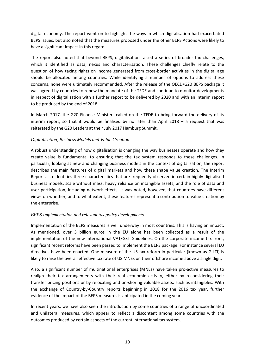digital economy. The report went on to highlight the ways in which digitalisation had exacerbated BEPS issues, but also noted that the measures proposed under the other BEPS Actions were likely to have a significant impact in this regard.

The report also noted that beyond BEPS, digitalisation raised a series of broader tax challenges, which it identified as data, nexus and characterisation. These challenges chiefly relate to the question of how taxing rights on income generated from cross-border activities in the digital age should be allocated among countries. While identifying a number of options to address these concerns, none were ultimately recommended. After the release of the OECD/G20 BEPS package it was agreed by countries to renew the mandate of the TFDE and continue to monitor developments in respect of digitalisation with a further report to be delivered by 2020 and with an interim report to be produced by the end of 2018.

In March 2017, the G20 Finance Ministers called on the TFDE to bring forward the delivery of its interim report, so that it would be finalised by no later than April 2018 – a request that was reiterated by the G20 Leaders at their July 2017 Hamburg Summit.

#### *Digitalisation, Business Models and Value Creation*

A robust understanding of how digitalisation is changing the way businesses operate and how they create value is fundamental to ensuring that the tax system responds to these challenges. In particular, looking at new and changing business models in the context of digitalisation, the report describes the main features of digital markets and how these shape value creation. The Interim Report also identifies three characteristics that are frequently observed in certain highly digitalised business models: scale without mass, heavy reliance on intangible assets, and the role of data and user participation, including network effects. It was noted, however, that countries have different views on whether, and to what extent, these features represent a contribution to value creation by the enterprise.

#### *BEPS Implementation and relevant tax policy developments*

Implementation of the BEPS measures is well underway in most countries. This is having an impact. As mentioned, over 3 billion euros in the EU alone has been collected as a result of the implementation of the new International VAT/GST Guidelines. On the corporate income tax front, significant recent reforms have been passed to implement the BEPS package. For instance several EU directives have been enacted. One measure of the US tax reform in particular (known as GILTI) is likely to raise the overall effective tax rate of US MNEs on their offshore income above a single digit.

Also, a significant number of multinational enterprises (MNEs) have taken pro-active measures to realign their tax arrangements with their real economic activity, either by reconsidering their transfer pricing positions or by relocating and on-shoring valuable assets, such as intangibles. With the exchange of Country-by-Country reports beginning in 2018 for the 2016 tax year, further evidence of the impact of the BEPS measures is anticipated in the coming years.

In recent years, we have also seen the introduction by some countries of a range of uncoordinated and unilateral measures, which appear to reflect a discontent among some countries with the outcomes produced by certain aspects of the current international tax system.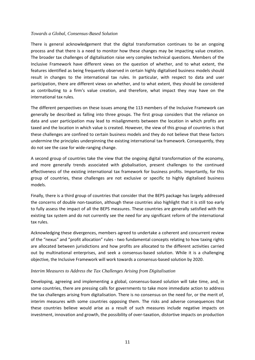#### *Towards a Global, Consensus-Based Solution*

There is general acknowledgement that the digital transformation continues to be an ongoing process and that there is a need to monitor how these changes may be impacting value creation. The broader tax challenges of digitalisation raise very complex technical questions. Members of the Inclusive Framework have different views on the question of whether, and to what extent, the features identified as being frequently observed in certain highly digitalised business models should result in changes to the international tax rules. In particular, with respect to data and user participation, there are different views on whether, and to what extent, they should be considered as contributing to a firm's value creation, and therefore, what impact they may have on the international tax rules.

The different perspectives on these issues among the 113 members of the Inclusive Framework can generally be described as falling into three groups. The first group considers that the reliance on data and user participation may lead to misalignments between the location in which profits are taxed and the location in which value is created. However, the view of this group of countries is that these challenges are confined to certain business models and they do not believe that these factors undermine the principles underpinning the existing international tax framework. Consequently, they do not see the case for wide-ranging change.

A second group of countries take the view that the ongoing digital transformation of the economy, and more generally trends associated with globalisation, present challenges to the continued effectiveness of the existing international tax framework for business profits. Importantly, for this group of countries, these challenges are not exclusive or specific to highly digitalised business models.

Finally, there is a third group of countries that consider that the BEPS package has largely addressed the concerns of double non-taxation, although these countries also highlight that it is still too early to fully assess the impact of all the BEPS measures. These countries are generally satisfied with the existing tax system and do not currently see the need for any significant reform of the international tax rules.

Acknowledging these divergences, members agreed to undertake a coherent and concurrent review of the "nexus" and "profit allocation" rules - two fundamental concepts relating to how taxing rights are allocated between jurisdictions and how profits are allocated to the different activities carried out by multinational enterprises, and seek a consensus-based solution. While it is a challenging objective, the Inclusive Framework will work towards a consensus-based solution by 2020.

#### *Interim Measures to Address the Tax Challenges Arising from Digitalisation*

Developing, agreeing and implementing a global, consensus-based solution will take time, and, in some countries, there are pressing calls for governments to take more immediate action to address the tax challenges arising from digitalisation. There is no consensus on the need for, or the merit of, interim measures with some countries opposing them. The risks and adverse consequences that these countries believe would arise as a result of such measures include negative impacts on investment, innovation and growth, the possibility of over-taxation, distortive impacts on production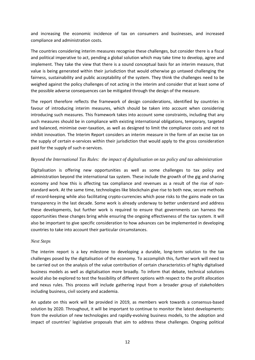and increasing the economic incidence of tax on consumers and businesses, and increased compliance and administration costs.

The countries considering interim measures recognise these challenges, but consider there is a fiscal and political imperative to act, pending a global solution which may take time to develop, agree and implement. They take the view that there is a sound conceptual basis for an interim measure, that value is being generated within their jurisdiction that would otherwise go untaxed challenging the fairness, sustainability and public acceptability of the system. They think the challenges need to be weighed against the policy challenges of not acting in the interim and consider that at least some of the possible adverse consequences can be mitigated through the design of the measure.

The report therefore reflects the framework of design considerations, identified by countries in favour of introducing interim measures, which should be taken into account when considering introducing such measures. This framework takes into account some constraints, including that any such measures should be in compliance with existing international obligations, temporary, targeted and balanced, minimise over-taxation, as well as designed to limit the compliance costs and not to inhibit innovation. The Interim Report considers an interim measure in the form of an excise tax on the supply of certain e-services within their jurisdiction that would apply to the gross consideration paid for the supply of such e-services.

#### *Beyond the International Tax Rules: the impact of digitalisation on tax policy and tax administration*

Digitalisation is offering new opportunities as well as some challenges to tax policy and administration beyond the international tax system. These include the growth of the gig and sharing economy and how this is affecting tax compliance and revenues as a result of the rise of nonstandard work. At the same time, technologies like blockchain give rise to both new, secure methods of record-keeping while also facilitating crypto-currencies which pose risks to the gains made on tax transparency in the last decade. Some work is already underway to better understand and address these developments, but further work is required to ensure that governments can harness the opportunities these changes bring while ensuring the ongoing effectiveness of the tax system. It will also be important to give specific consideration to how advances can be implemented in developing countries to take into account their particular circumstances.

#### *Next Steps*

The interim report is a key milestone to developing a durable, long-term solution to the tax challenges posed by the digitalisation of the economy. To accomplish this, further work will need to be carried out on the analysis of the value contribution of certain characteristics of highly digitalised business models as well as digitalisation more broadly. To inform that debate, technical solutions would also be explored to test the feasibility of different options with respect to the profit allocation and nexus rules. This process will include gathering input from a broader group of stakeholders including business, civil society and academia.

An update on this work will be provided in 2019, as members work towards a consensus-based solution by 2020. Throughout, it will be important to continue to monitor the latest developments: from the evolution of new technologies and rapidly-evolving business models, to the adoption and impact of countries' legislative proposals that aim to address these challenges. Ongoing political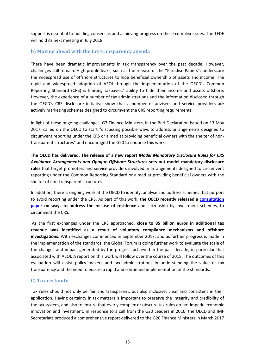support is essential to building consensus and achieving progress on these complex issues. The TFDE will hold its next meeting in July 2018.

#### **b) Moving ahead with the tax transparency agenda**

There have been dramatic improvements in tax transparency over the past decade. However, challenges still remain. High profile leaks, such as the release of the "Paradise Papers", underscore the widespread use of offshore structures to hide beneficial ownership of assets and income. The rapid and widespread adoption of AEOI through the implementation of the OECD's Common Reporting Standard (CRS) is limiting taxpayers' ability to hide their income and assets offshore. However, the experience of a number of tax administrations and the information disclosed through the OECD's CRS disclosure initiative show that a number of advisers and service providers are actively marketing schemes designed to circumvent the CRS reporting requirements.

In light of these ongoing challenges, G7 Finance Ministers, in the Bari Declaration issued on 13 May 2017, called on the OECD to start "discussing possible ways to address arrangements designed to circumvent reporting under the CRS or aimed at providing beneficial owners with the shelter of nontransparent structures" and encouraged the G20 to endorse this work.

**The OECD has delivered. The release of a new report** *Model Mandatory Disclosure Rules for CRS Avoidance Arrangements and Opaque Offshore Structures* **sets out model mandatory disclosure rules** that target promoters and service providers involved in arrangements designed to circumvent reporting under the Common Reporting Standard or aimed at providing beneficial owners with the shelter of non-transparent structures.

In addition, there is ongoing work at the OECD to identify, analyse and address schemes that purport to avoid reporting under the CRS. As part of this work, **the OECD recently released a [consultation](http://www.oecd.org/tax/oecd-releases-consultation-document-on-misuse-of-residence-by-investment-schemes-to-circumvent-the-common-reporting-standard.htm)  [paper](http://www.oecd.org/tax/oecd-releases-consultation-document-on-misuse-of-residence-by-investment-schemes-to-circumvent-the-common-reporting-standard.htm) on ways to address the misuse of residence** and citizenship by investment schemes, to circumvent the CRS.

As the first exchanges under the CRS approached, **close to 85 billion euros in additional tax revenue was identified as a result of voluntary compliance mechanisms and offshore investigations**. With exchanges commenced in September 2017, and as further progress is made in the implementation of the standards, the Global Forum is doing further work to evaluate the scale of the changes and impact generated by the progress achieved in the past decade, in particular that associated with AEOI. A report on this work will follow over the course of 2018. The outcomes of this evaluation will assist policy makers and tax administrations in understanding the value of tax transparency and the need to ensure a rapid and continued implementation of the standards.

#### **C) Tax certainty**

Tax rules should not only be fair and transparent, but also inclusive, clear and consistent in their application. Having certainty in tax matters is important to preserve the integrity and credibility of the tax system, and also to ensure that overly complex or obscure tax rules do not impede economic innovation and investment. In response to a call from the G20 Leaders in 2016, the OECD and IMF Secretariats produced a comprehensive report delivered to the G20 Finance Ministers in March 2017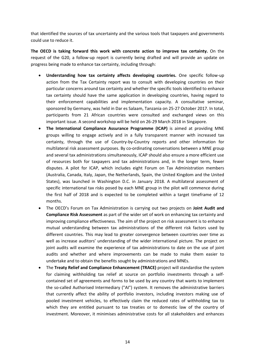that identified the sources of tax uncertainty and the various tools that taxpayers and governments could use to reduce it.

**The OECD is taking forward this work with concrete action to improve tax certainty.** On the request of the G20, a follow-up report is currently being drafted and will provide an update on progress being made to enhance tax certainty, including through:

- **Understanding how tax certainty affects developing countries.** One specific follow-up action from the Tax Certainty report was to consult with developing countries on their particular concerns around tax certainty and whether the specific tools identified to enhance tax certainty should have the same application in developing countries, having regard to their enforcement capabilities and implementation capacity. A consultative seminar, sponsored by Germany, was held in Dar es Salaam, Tanzania on 25-27 October 2017. In total, participants from 21 African countries were consulted and exchanged views on this important issue. A second workshop will be held on 26-29 March 2018 in Singapore.
- **The International Compliance Assurance Programme (ICAP)** is aimed at providing MNE groups willing to engage actively and in a fully transparent manner with increased tax certainty, through the use of Country-by-Country reports and other information for multilateral risk assessment purposes. By co-ordinating conversations between a MNE group and several tax administrations simultaneously, ICAP should also ensure a more efficient use of resources both for taxpayers and tax administrations and, in the longer term, fewer disputes. A pilot for ICAP, which includes eight Forum on Tax Administration members (Australia, Canada, Italy, Japan, the Netherlands, Spain, the United Kingdom and the United States), was launched in Washington D.C. in January 2018. A multilateral assessment of specific international tax risks posed by each MNE group in the pilot will commence during the first half of 2018 and is expected to be completed within a target timeframe of 12 months.
- The OECD's Forum on Tax Administration is carrying out two projects on **Joint Audit and Compliance Risk Assessment** as part of the wider set of work on enhancing tax certainty and improving compliance effectiveness. The aim of the project on risk assessment is to enhance mutual understanding between tax administrations of the different risk factors used by different countries. This may lead to greater convergence between countries over time as well as increase auditors' understanding of the wider international picture. The project on joint audits will examine the experience of tax administrations to date on the use of joint audits and whether and where improvements can be made to make them easier to undertake and to obtain the benefits sought by administrations and MNEs.
- The **Treaty Relief and Compliance Enhancement (TRACE)** project will standardise the system for claiming withholding tax relief at source on portfolio investments through a selfcontained set of agreements and forms to be used by any country that wants to implement the so-called Authorised Intermediary ("AI") system. It removes the administrative barriers that currently affect the ability of portfolio investors, including investors making use of pooled investment vehicles, to effectively claim the reduced rates of withholding tax to which they are entitled pursuant to tax treaties or to domestic law of the country of investment. Moreover, it minimises administrative costs for all stakeholders and enhances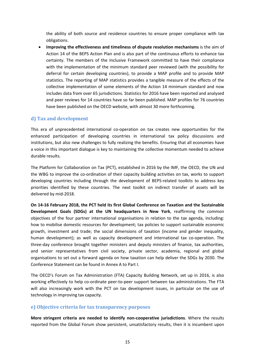the ability of both source and residence countries to ensure proper compliance with tax obligations.

• **Improving the effectiveness and timeliness of dispute resolution mechanisms** is the aim of Action 14 of the BEPS Action Plan and is also part of the continuous efforts to enhance tax certainty. The members of the Inclusive Framework committed to have their compliance with the implementation of the minimum standard peer reviewed (with the possibility for deferral for certain developing countries), to provide a MAP profile and to provide MAP statistics. The reporting of MAP statistics provides a tangible measure of the effects of the collective implementation of some elements of the Action 14 minimum standard and now includes data from over 65 jurisdictions. Statistics for 2016 have been reported and analysed and peer reviews for 14 countries have so far been published. MAP profiles for 76 countries have been published on the OECD website, with almost 30 more forthcoming.

#### **d) Tax and development**

This era of unprecedented international co-operation on tax creates new opportunities for the enhanced participation of developing countries in international tax policy discussions and institutions, but also new challenges to fully realizing the benefits. Ensuring that all economies have a voice in this important dialogue is key to maintaining the collective momentum needed to achieve durable results.

The Platform for Collaboration on Tax (PCT), established in 2016 by the IMF, the OECD, the UN and the WBG to improve the co-ordination of their capacity building activities on tax, works to support developing countries including through the development of BEPS-related toolkits to address key priorities identified by these countries. The next toolkit on indirect transfer of assets will be delivered by mid-2018.

**On 14-16 February 2018, the PCT held its first Global Conference on Taxation and the Sustainable Development Goals (SDGs) at the UN headquarters in New York**, reaffirming the common objectives of the four partner international organisations in relation to the tax agenda, including: how to mobilise domestic resources for development; tax policies to support sustainable economic growth, investment and trade; the social dimensions of taxation (income and gender inequality, human development); as well as capacity development and international tax co-operation. The three-day conference brought together ministers and deputy ministers of finance, tax authorities, and senior representatives from civil society, private sector, academia, regional and global organisations to set out a forward agenda on how taxation can help deliver the SDGs by 2030. The Conference Statement can be found in Annex A to Part I.

The OECD's Forum on Tax Administration (FTA) Capacity Building Network, set up in 2016, is also working effectively to help co-ordinate peer-to-peer support between tax administrations. The FTA will also increasingly work with the PCT on tax development issues, in particular on the use of technology in improving tax capacity.

#### **e) Objective criteria for tax transparency purposes**

**More stringent criteria are needed to identify non-cooperative jurisdictions**. Where the results reported from the Global Forum show persistent, unsatisfactory results, then it is incumbent upon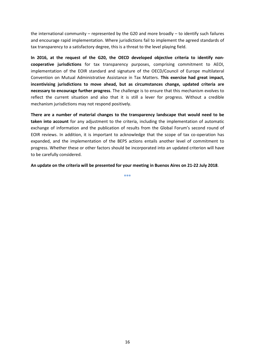the international community – represented by the G20 and more broadly – to identify such failures and encourage rapid implementation. Where jurisdictions fail to implement the agreed standards of tax transparency to a satisfactory degree, this is a threat to the level playing field.

**In 2016, at the request of the G20, the OECD developed objective criteria to identify noncooperative jurisdictions** for tax transparency purposes, comprising commitment to AEOI, implementation of the EOIR standard and signature of the OECD/Council of Europe multilateral Convention on Mutual Administrative Assistance in Tax Matters. **This exercise had great impact, incentivising jurisdictions to move ahead, but as circumstances change, updated criteria are necessary to encourage further progress**. The challenge is to ensure that this mechanism evolves to reflect the current situation and also that it is still a lever for progress. Without a credible mechanism jurisdictions may not respond positively.

**There are a number of material changes to the transparency landscape that would need to be taken into account** for any adjustment to the criteria, including the implementation of automatic exchange of information and the publication of results from the Global Forum's second round of EOIR reviews. In addition, it is important to acknowledge that the scope of tax co-operation has expanded, and the implementation of the BEPS actions entails another level of commitment to progress. Whether these or other factors should be incorporated into an updated criterion will have to be carefully considered.

**An update on the criteria will be presented for your meeting in Buenos Aires on 21-22 July 2018**.

**\*\*\***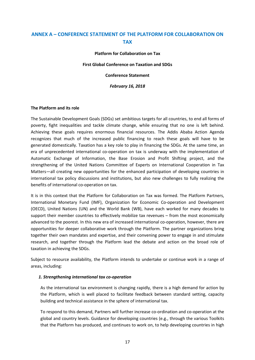### **ANNEX A – CONFERENCE STATEMENT OF THE PLATFORM FOR COLLABORATION ON TAX**

**Platform for Collaboration on Tax**

**First Global Conference on Taxation and SDGs**

**Conference Statement** 

*February 16, 2018*

#### **The Platform and its role**

The Sustainable Development Goals (SDGs) set ambitious targets for all countries, to end all forms of poverty, fight inequalities and tackle climate change, while ensuring that no one is left behind. Achieving these goals requires enormous financial resources. The Addis Ababa Action Agenda recognizes that much of the increased public financing to reach these goals will have to be generated domestically. Taxation has a key role to play in financing the SDGs. At the same time, an era of unprecedented international co-operation on tax is underway with the implementation of Automatic Exchange of Information, the Base Erosion and Profit Shifting project, and the strengthening of the United Nations Committee of Experts on International Cooperation in Tax Matters—all creating new opportunities for the enhanced participation of developing countries in international tax policy discussions and institutions, but also new challenges to fully realizing the benefits of international co-operation on tax.

It is in this context that the Platform for Collaboration on Tax was formed. The Platform Partners, International Monetary Fund (IMF), Organization for Economic Co-operation and Development (OECD), United Nations (UN) and the World Bank (WB), have each worked for many decades to support their member countries to effectively mobilize tax revenues – from the most economically advanced to the poorest. In this new era of increased international co-operation, however, there are opportunities for deeper collaborative work through the Platform. The partner organizations bring together their own mandates and expertise, and their convening power to engage in and stimulate research, and together through the Platform lead the debate and action on the broad role of taxation in achieving the SDGs.

Subject to resource availability, the Platform intends to undertake or continue work in a range of areas, including:

#### *1. Strengthening international tax co-operation*

As the international tax environment is changing rapidly, there is a high demand for action by the Platform, which is well placed to facilitate feedback between standard setting, capacity building and technical assistance in the sphere of international tax.

To respond to this demand, Partners will further increase co-ordination and co-operation at the global and country levels. Guidance for developing countries (e.g., through the various Toolkits that the Platform has produced, and continues to work on, to help developing countries in high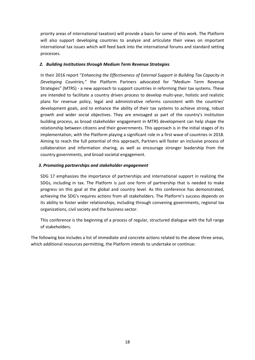priority areas of international taxation) will provide a basis for some of this work. The Platform will also support developing countries to analyze and articulate their views on important international tax issues which will feed back into the international forums and standard setting processes.

#### *2. Building Institutions through Medium Term Revenue Strategies*

In their 2016 report "*Enhancing the Effectiveness of External Support in Building Tax Capacity in Developing Countries,"* the Platform Partners advocated for "Medium Term Revenue Strategies" (MTRS) - a new approach to support countries in reforming their tax systems. These are intended to facilitate a country driven process to develop multi-year, holistic and realistic plans for revenue policy, legal and administrative reforms consistent with the countries' development goals, and to enhance the ability of their tax systems to achieve strong, robust growth and wider social objectives. They are envisaged as part of the country's institution building process, as broad stakeholder engagement in MTRS development can help shape the relationship between citizens and their governments. This approach is in the initial stages of its implementation, with the Platform playing a significant role in a first wave of countries in 2018. Aiming to reach the full potential of this approach, Partners will foster an inclusive process of collaboration and information sharing, as well as encourage stronger leadership from the country governments, and broad societal engagement.

#### *3. Promoting partnerships and stakeholder engagement*

SDG 17 emphasizes the importance of partnerships and international support in realizing the SDGs, including in tax. The Platform is just one form of partnership that is needed to make progress on this goal at the global and country level. As this conference has demonstrated, achieving the SDG's requires actions from all stakeholders. The Platform's success depends on its ability to foster wider relationships, including through convening governments, regional tax organizations, civil society and the business sector.

This conference is the beginning of a process of regular, structured dialogue with the full range of stakeholders.

The following box includes a list of immediate and concrete actions related to the above three areas, which additional resources permitting, the Platform intends to undertake or continue: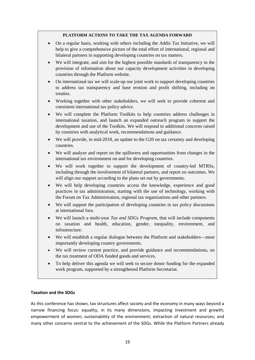#### **PLATFORM ACTIONS TO TAKE THE TAX AGENDA FORWARD**

- On a regular basis, working with others including the Addis Tax Initiative, we will help to give a comprehensive picture of the total effort of international, regional and bilateral partners in supporting developing countries on tax matters.
- We will integrate, and aim for the highest possible standards of transparency in the provision of information about our capacity development activities in developing countries through the Platform website.
- On international tax we will scale-up our joint work to support developing countries to address tax transparency and base erosion and profit shifting, including on treaties.
- Working together with other stakeholders, we will seek to provide coherent and consistent international tax policy advice.
- We will complete the Platform Toolkits to help countries address challenges in international taxation, and launch an expanded outreach program to support the development and use of the Toolkits. We will respond to additional concerns raised by countries with analytical work, recommendations and guidance.
- We will provide, in mid-2018, an update to the G20 on tax certainty and developing countries.
- We will analyze and report on the spillovers and opportunities from changes in the international tax environment on and for developing countries.
- We will work together to support the development of country-led MTRSs, including through the involvement of bilateral partners, and report on outcomes. We will align our support according to the plans set out by governments.
- We will help developing countries access the knowledge, experience and good practices in tax administration, starting with the use of technology, working with the Forum on Tax Administration, regional tax organizations and other partners.
- We will support the participation of developing countries in tax policy discussions at international fora.
- We will launch a multi-year *Tax and SDGs Program*, that will include components on taxation and health, education, gender, inequality, environment, and infrastructure.
- We will establish a regular dialogue between the Platform and stakeholders—most importantly developing country governments.
- We will review current practice, and provide guidance and recommendations, on the tax treatment of ODA funded goods and services.
- To help deliver this agenda we will seek to secure donor funding for the expanded work program, supported by a strengthened Platform Secretariat.

#### **Taxation and the SDGs**

As this conference has shown, tax structures affect society and the economy in many ways beyond a narrow financing focus: equality, in its many dimensions, impacting investment and growth; empowerment of women; sustainability of the environment; extraction of natural resources; and many other concerns central to the achievement of the SDGs. While the Platform Partners already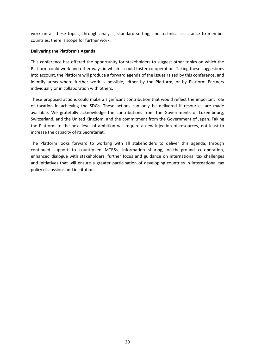work on all these topics, through analysis, standard setting, and technical assistance to member countries, there is scope for further work.

#### **Delivering the Platform's Agenda**

This conference has offered the opportunity for stakeholders to suggest other topics on which the Platform could work and other ways in which it could foster co-operation. Taking these suggestions into account, the Platform will produce a forward agenda of the issues raised by this conference, and identify areas where further work is possible, either by the Platform, or by Platform Partners individually or in collaboration with others.

These proposed actions could make a significant contribution that would reflect the important role of taxation in achieving the SDGs. These actions can only be delivered if resources are made available. We gratefully acknowledge the contributions from the Governments of Luxembourg, Switzerland, and the United Kingdom, and the commitment from the Government of Japan. Taking the Platform to the next level of ambition will require a new injection of resources, not least to increase the capacity of its Secretariat.

The Platform looks forward to working with all stakeholders to deliver this agenda, through continued support to country-led MTRSs, information sharing, on-the-ground co-operation, enhanced dialogue with stakeholders, further focus and guidance on international tax challenges and initiatives that will ensure a greater participation of developing countries in international tax policy discussions and institutions.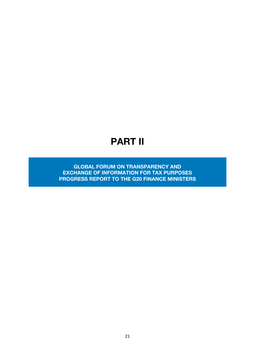## PART II

GLOBAL FORUM ON TRANSPARENCY AND EXCHANGE OF INFORMATION FOR TAX PURPOSES PROGRESS REPORT TO THE G20 FINANCE MINISTERS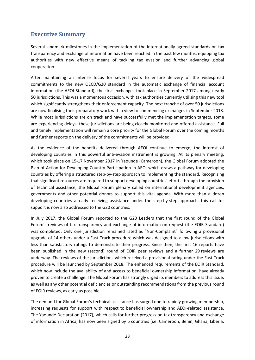### **Executive Summary**

Several landmark milestones in the implementation of the internationally agreed standards on tax transparency and exchange of information have been reached in the past few months, equipping tax authorities with new effective means of tackling tax evasion and further advancing global cooperation.

After maintaining an intense focus for several years to ensure delivery of the widespread commitments to the new OECD/G20 standard in the automatic exchange of financial account information (the AEOI Standard), the first exchanges took place in September 2017 among nearly 50 jurisdictions. This was a momentous occasion, with tax authorities currently utilising this new tool which significantly strengthens their enforcement capacity. The next tranche of over 50 jurisdictions are now finalising their preparatory work with a view to commencing exchanges in September 2018. While most jurisdictions are on track and have successfully met the implementation targets, some are experiencing delays: these jurisdictions are being closely monitored and offered assistance. Full and timely implementation will remain a core priority for the Global Forum over the coming months and further reports on the delivery of the commitments will be provided.

As the evidence of the benefits delivered through AEOI continue to emerge, the interest of developing countries in this powerful anti-evasion instrument is growing. At its plenary meeting, which took place on 15-17 November 2017 in Yaoundé (Cameroon), the Global Forum adopted the Plan of Action for Developing Country Participation in AEOI which draws a pathway for developing countries by offering a structured step-by-step approach to implementing the standard. Recognising that significant resources are required to support developing countries' efforts through the provision of technical assistance, the Global Forum plenary called on international development agencies, governments and other potential donors to support this vital agenda. With more than a dozen developing countries already receiving assistance under the step-by-step approach, this call for support is now also addressed to the G20 countries.

In July 2017, the Global Forum reported to the G20 Leaders that the first round of the Global Forum's reviews of tax transparency and exchange of information on request (the EOIR Standard) was completed. Only one jurisdiction remained rated as "Non-Complaint" following a provisional upgrade of 14 others under a Fast-Track procedure which was designed to allow jurisdictions with less than satisfactory ratings to demonstrate their progress. Since then, the first 16 reports have been published in the new (second) round of EOIR peer reviews and a further 29 reviews are underway. The reviews of the jurisdictions which received a provisional rating under the Fast-Track procedure will be launched by September 2018. The enhanced requirements of the EOIR Standard, which now include the availability of and access to beneficial ownership information, have already proven to create a challenge. The Global Forum has strongly urged its members to address this issue, as well as any other potential deficiencies or outstanding recommendations from the previous round of EOIR reviews, as early as possible.

The demand for Global Forum's technical assistance has surged due to rapidly growing membership, increasing requests for support with respect to beneficial ownership and AEOI-related assistance. The Yaoundé Declaration (2017), which calls for further progress on tax transparency and exchange of information in Africa, has now been signed by 6 countries (i.e. Cameroon, Benin, Ghana, Liberia,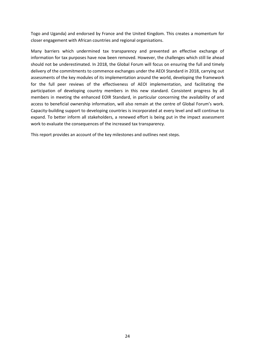Togo and Uganda) and endorsed by France and the United Kingdom. This creates a momentum for closer engagement with African countries and regional organisations.

Many barriers which undermined tax transparency and prevented an effective exchange of information for tax purposes have now been removed. However, the challenges which still lie ahead should not be underestimated. In 2018, the Global Forum will focus on ensuring the full and timely delivery of the commitments to commence exchanges under the AEOI Standard in 2018, carrying out assessments of the key modules of its implementation around the world, developing the framework for the full peer reviews of the effectiveness of AEOI implementation, and facilitating the participation of developing country members in this new standard. Consistent progress by all members in meeting the enhanced EOIR Standard, in particular concerning the availability of and access to beneficial ownership information, will also remain at the centre of Global Forum's work. Capacity-building support to developing countries is incorporated at every level and will continue to expand. To better inform all stakeholders, a renewed effort is being put in the impact assessment work to evaluate the consequences of the increased tax transparency.

This report provides an account of the key milestones and outlines next steps.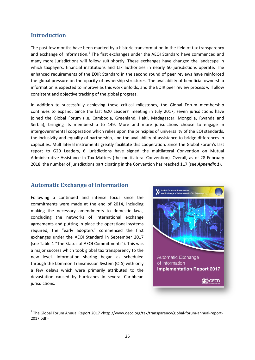#### **Introduction**

The past few months have been marked by a historic transformation in the field of tax transparency and exchange of information.<sup>[2](#page-26-0)</sup> The first exchanges under the AEOI Standard have commenced and many more jurisdictions will follow suit shortly. These exchanges have changed the landscape in which taxpayers, financial institutions and tax authorities in nearly 50 jurisdictions operate. The enhanced requirements of the EOIR Standard in the second round of peer reviews have reinforced the global pressure on the opacity of ownership structures. The availability of beneficial ownership information is expected to improve as this work unfolds, and the EOIR peer review process will allow consistent and objective tracking of the global progress.

In addition to successfully achieving these critical milestones, the Global Forum membership continues to expand. Since the last G20 Leaders' meeting in July 2017, seven jurisdictions have joined the Global Forum (i.e. Cambodia, Greenland, Haiti, Madagascar, Mongolia, Rwanda and Serbia), bringing its membership to 149. More and more jurisdictions choose to engage in intergovernmental cooperation which relies upon the principles of universality of the EOI standards, the inclusivity and equality of partnership, and the availability of assistance to bridge differences in capacities. Multilateral instruments greatly facilitate this cooperation. Since the Global Forum's last report to G20 Leaders, 6 jurisdictions have signed the multilateral Convention on Mutual Administrative Assistance in Tax Matters (the multilateral Convention). Overall, as of 28 February 2018, the number of jurisdictions participating in the Convention has reached 117 (see *Appendix 1*).

#### **Automatic Exchange of Information**

Following a continued and intense focus since the commitments were made at the end of 2014, including making the necessary amendments to domestic laws, concluding the networks of international exchange agreements and putting in place the operational systems required, the "early adopters" commenced the first exchanges under the AEOI Standard in September 2017 (see Table 1 "The Status of AEOI Commitments"). This was a major success which took global tax transparency to the new level. Information sharing began as scheduled through the Common Transmission System (CTS) with only a few delays which were primarily attributed to the devastation caused by hurricanes in several Caribbean jurisdictions.

<span id="page-26-0"></span>**.** 



<sup>&</sup>lt;sup>2</sup> The Global Forum Annual Report 2017 <http://www.oecd.org/tax/transparency/global-forum-annual-report-2017.pdf>.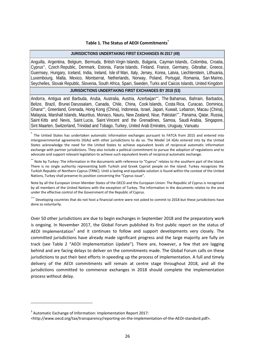#### **Table 1. The Status of AEOI Commitments\***

#### **JURISDICTIONS UNDERTAKING FIRST EXCHANGES IN 2017 (49)**

Anguilla, Argentina, Belgium, Bermuda, British Virgin Islands, Bulgaria, Cayman Islands, Colombia, Croatia, Cyprus\*\*, Czech Republic, Denmark, Estonia, Faroe Islands, Finland, France, Germany, Gibraltar, Greece, Guernsey, Hungary, Iceland, India, Ireland, Isle of Man, Italy, Jersey, Korea, Latvia, Liechtenstein, Lithuania, Luxembourg, Malta, Mexico, Montserrat, Netherlands, Norway, Poland, Portugal, Romania, San Marino, Seychelles, Slovak Republic, Slovenia, South Africa, Spain, Sweden, Turks and Caicos Islands, United Kingdom

#### **JURISDICTIONS UNDERTAKING FIRST EXCHANGES BY 2018 (53)**

Andorra, Antiqua and Barbuda, Aruba, Australia, Austria, Azerbaijan\*\*, The Bahamas, Bahrain, Barbados, Belize, Brazil, Brunei Darussalam, Canada, Chile, China, Cook Islands, Costa Rica, Curacao, Dominica, Ghana\*\*\*, Greenland, Grenada, Hong Kong (China), Indonesia, Israel, Japan, Kuwait, Lebanon, Macau (China), Malaysia, Marshall Islands, Mauritius, Monaco, Nauru, New Zealand, Niue, Pakistan\*\*\*, Panama, Qatar, Russia, Saint Kitts and Nevis, Saint Lucia, Saint Vincent and the Grenadines, Samoa, Saudi Arabia, Singapore, Sint Maarten, Switzerland, Trinidad and Tobago, Turkey, United Arab Emirates, Uruguay, Vanuatu

\* The United States has undertaken automatic information exchanges pursuant to FATCA from 2015 and entered into intergovernmental agreements (IGAs) with other jurisdictions to do so. The Model 1A IGAs entered into by the United States acknowledge the need for the United States to achieve equivalent levels of reciprocal automatic information exchange with partner jurisdictions. They also include a political commitment to pursue the adoption of regulations and to advocate and support relevant legislation to achieve such equivalent levels of reciprocal automatic exchange.

\*\* Note by Turkey: The information in the documents with reference to "Cyprus" relates to the southern part of the Island. There is no single authority representing both Turkish and Greek Cypriot people on the Island. Turkey recognizes the Turkish Republic of Northern Cyprus (TRNC). Until a lasting and equitable solution is found within the context of the United Nations, Turkey shall preserve its position concerning the "Cyprus issue".

Note by all the European Union Member States of the OECD and the European Union: The Republic of Cyprus is recognised by all members of the United Nations with the exception of Turkey. The information in the documents relates to the area under the effective control of the Government of the Republic of Cyprus.

\*\*\* Developing countries that do not host a financial centre were not asked to commit to 2018 but these jurisdictions have done so voluntarily.

Over 50 other jurisdictions are due to begin exchanges in September 2018 and the preparatory work is ongoing. In November 2017, the Global Forum published its first public report on the status of AEOI Implementation<sup>[3](#page-27-0)</sup> and it continues to follow and support developments very closely. The committed jurisdictions have already made significant progress and the large majority are fully on track (see Table 2 "AEOI Implementation Update"). There are, however, a few that are lagging behind and are facing delays to deliver on the commitments made. The Global Forum calls on these jurisdictions to put their best efforts in speeding up the process of implementation. A full and timely delivery of the AEOI commitments will remain at centre stage throughout 2018, and all the jurisdictions committed to commence exchanges in 2018 should complete the implementation process without delay.

**.** 

<span id="page-27-0"></span><sup>&</sup>lt;sup>3</sup> Automatic Exchange of Information: Implementation Report 2017:

<sup>&</sup>lt;http://www.oecd.org/tax/transparency/reporting-on-the-implementation-of-the-AEOI-standard.pdf>.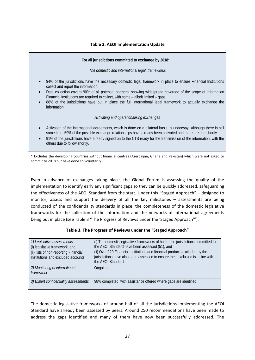#### **Table 2. AEOI Implementation Update**

#### **For all jurisdictions committed to exchange by 2018\***

*The domestic and international legal frameworks*

- 94% of the jurisdictions have the necessary domestic legal framework in place to ensure Financial Institutions collect and report the information.
- Data collection covers 90% of all potential partners, showing widespread coverage of the scope of information Financial Institutions are required to collect, with some – albeit limited – gaps.
- 86% of the jurisdictions have put in place the full international legal framework to actually exchange the information.

#### *Activating and operationalising exchanges*

- Activation of the international agreements, which is done on a bilateral basis, is underway. Although there is still some time, 59% of the possible exchange relationships have already been activated and more are due shortly.
- 91% of the jurisdictions have already signed on to the CTS ready for the transmission of the information, with the others due to follow shortly.

\* Excludes the developing countries without financial centres (Azerbaijan, Ghana and Pakistan) which were not asked to commit to 2018 but have done so voluntarily.

Even in advance of exchanges taking place, the Global Forum is assessing the quality of the implementation to identify early any significant gaps so they can be quickly addressed, safeguarding the effectiveness of the AEOI Standard from the start. Under this "Staged Approach" – designed to monitor, assess and support the delivery of all the key milestones – assessments are being conducted of the confidentiality standards in place, the completeness of the domestic legislative frameworks for the collection of the information and the networks of international agreements being put in place (see Table 3 "The Progress of Reviews under the 'Staged Approach'").

| 1) Legislative assessments:<br>(i) legislative framework, and<br>(ii) lists of non-reporting Financial<br>Institutions and excluded accounts | (i) The domestic legislative frameworks of half of the jurisdictions committed to<br>the AEOI Standard have been assessed (51), and<br>(ii) Over 120 Financial Institutions and financial products excluded by the<br>jurisdictions have also been assessed to ensure their exclusion is in line with<br>the AEOI Standard. |
|----------------------------------------------------------------------------------------------------------------------------------------------|-----------------------------------------------------------------------------------------------------------------------------------------------------------------------------------------------------------------------------------------------------------------------------------------------------------------------------|
| 2) Monitoring of international<br>framework                                                                                                  | Ongoing.                                                                                                                                                                                                                                                                                                                    |
| 3) Expert confidentiality assessments                                                                                                        | 98% completed, with assistance offered where gaps are identified.                                                                                                                                                                                                                                                           |

#### **Table 3. The Progress of Reviews under the "Staged Approach"**

The domestic legislative frameworks of around half of all the jurisdictions implementing the AEOI Standard have already been assessed by peers. Around 250 recommendations have been made to address the gaps identified and many of them have now been successfully addressed. The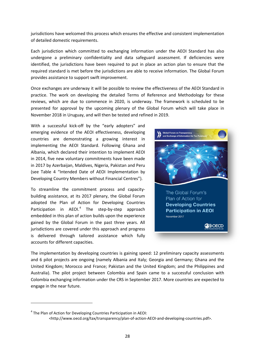jurisdictions have welcomed this process which ensures the effective and consistent implementation of detailed domestic requirements.

Each jurisdiction which committed to exchanging information under the AEOI Standard has also undergone a preliminary confidentiality and data safeguard assessment. If deficiencies were identified, the jurisdictions have been required to put in place an action plan to ensure that the required standard is met before the jurisdictions are able to receive information. The Global Forum provides assistance to support swift improvement.

Once exchanges are underway it will be possible to review the effectiveness of the AEOI Standard in practice. The work on developing the detailed Terms of Reference and Methodology for these reviews, which are due to commence in 2020, is underway. The framework is scheduled to be presented for approval by the upcoming plenary of the Global Forum which will take place in November 2018 in Uruguay, and will then be tested and refined in 2019.

With a successful kick-off by the "early adopters" and emerging evidence of the AEOI effectiveness, developing countries are demonstrating a growing interest in implementing the AEOI Standard. Following Ghana and Albania, which declared their intention to implement AEOI in 2014, five new voluntary commitments have been made in 2017 by Azerbaijan, Maldives, Nigeria, Pakistan and Peru (see Table 4 "Intended Date of AEOI Implementation by Developing Country Members without Financial Centres").

To streamline the commitment process and capacitybuilding assistance, at its 2017 plenary, the Global Forum adopted the Plan of Action for Developing Countries Participation in AEOI.<sup>[4](#page-29-0)</sup> The step-by-step approach embedded in this plan of action builds upon the experience gained by the Global Forum in the past three years. All jurisdictions are covered under this approach and progress is delivered through tailored assistance which fully accounts for different capacities.



The implementation by developing countries is gaining speed: 12 preliminary capacity assessments and 6 pilot projects are ongoing (namely Albania and Italy; Georgia and Germany; Ghana and the United Kingdom; Morocco and France; Pakistan and the United Kingdom; and the Philippines and Australia). The pilot project between Colombia and Spain came to a successful conclusion with Colombia exchanging information under the CRS in September 2017. More countries are expected to engage in the near future.

**.** 

<span id="page-29-0"></span><sup>&</sup>lt;sup>4</sup> The Plan of Action for Developing Countries Participation in AEOI:

<sup>&</sup>lt;http://www.oecd.org/tax/transparency/plan-of-action-AEOI-and-developing-countries.pdf>.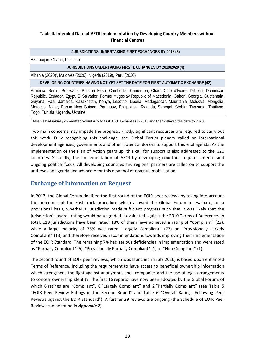#### **Table 4. Intended Date of AEOI Implementation by Developing Country Members without Financial Centres**

#### **JURISDICTIONS UNDERTAKING FIRST EXCHANGES BY 2018 (3)**

Azerbaijan, Ghana, Pakistan

#### **JURISDICTIONS UNDERTAKING FIRST EXCHANGES BY 2019/2020 (4)**

Albania (2020)\* , Maldives (2020), Nigeria (2019), Peru (2020)

**DEVELOPING COUNTRIES HAVING NOT YET SET THE DATE FOR FIRST AUTOMATIC EXCHANGE (42)**

Armenia, Benin, Botswana, Burkina Faso, Cambodia, Cameroon, Chad, Côte d'Ivoire, Djibouti, Dominican Republic, Ecuador, Egypt, El Salvador, Former Yugoslav Republic of Macedonia, Gabon, Georgia, Guatemala, Guyana, Haiti, Jamaica, Kazakhstan, Kenya, Lesotho, Liberia, Madagascar, Mauritania, Moldova, Mongolia, Morocco, Niger, Papua New Guinea, Paraguay, Philippines, Rwanda, Senegal, Serbia, Tanzania, Thailand, Togo, Tunisia, Uganda, Ukraine

\* Albania had initially committed voluntarily to first AEOI exchanges in 2018 and then delayed the date to 2020.

Two main concerns may impede the progress. Firstly, significant resources are required to carry out this work. Fully recognising this challenge, the Global Forum plenary called on international development agencies, governments and other potential donors to support this vital agenda. As the implementation of the Plan of Action gears up, this call for support is also addressed to the G20 countries. Secondly, the implementation of AEOI by developing countries requires intense and ongoing political focus. All developing countries and regional partners are called on to support the anti-evasion agenda and advocate for this new tool of revenue mobilisation.

### **Exchange of Information on Request**

In 2017, the Global Forum finalised the first round of the EOIR peer reviews by taking into account the outcomes of the Fast-Track procedure which allowed the Global Forum to evaluate, on a provisional basis, whether a jurisdiction made sufficient progress such that it was likely that the jurisdiction's overall rating would be upgraded if evaluated against the 2010 Terms of Reference. In total, 119 jurisdictions have been rated: 18% of them have achieved a rating of "Compliant" (22), while a large majority of 75% was rated "Largely Compliant" (77) or "Provisionally Largely Compliant" (13) and therefore received recommendations towards improving their implementation of the EOIR Standard. The remaining 7% had serious deficiencies in implementation and were rated as "Partially Compliant" (5), "Provisionally Partially Compliant" (1) or "Non-Compliant" (1).

The second round of EOIR peer reviews, which was launched in July 2016, is based upon enhanced Terms of Reference, including the requirement to have access to beneficial ownership information which strengthens the fight against anonymous shell companies and the use of legal arrangements to conceal ownership identity. The first 16 reports have now been adopted by the Global Forum, of which 6 ratings are "Compliant", 8 "Largely Compliant" and 2 "Partially Compliant" (see Table 5 "EOIR Peer Review Ratings in the Second Round" and Table 6 "Overall Ratings Following Peer Reviews against the EOIR Standard"). A further 29 reviews are ongoing (the Schedule of EOIR Peer Reviews can be found in *Appendix 2*).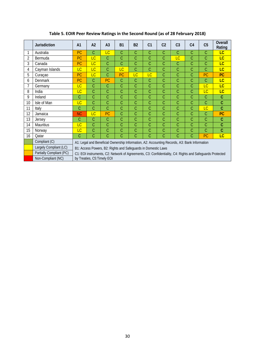|    | <b>Jurisdiction</b>      | A <sub>1</sub>                                                                                           | A <sub>2</sub>                                  | A <sub>3</sub> | <b>B1</b> | <b>B2</b> | C <sub>1</sub> | C <sub>2</sub> | C <sub>3</sub> | C <sub>4</sub> | C <sub>5</sub> | <b>Overall</b><br>Rating |
|----|--------------------------|----------------------------------------------------------------------------------------------------------|-------------------------------------------------|----------------|-----------|-----------|----------------|----------------|----------------|----------------|----------------|--------------------------|
|    | Australia                | <b>PC</b>                                                                                                | C                                               | LC             | C         | C         | $\mathcal{C}$  | C              | C              | C              | C              | LC                       |
| 2  | Bermuda                  | <b>PC</b>                                                                                                | LC                                              | C              | C         | C         | C              | С              | LC             | С              | C              | <b>LC</b>                |
| 3  | Canada                   | <b>PC</b>                                                                                                | LC                                              | C              | Ċ         | C         | C              | C              | С              | С              | C              | LC                       |
| 4  | Cayman Islands           | LC                                                                                                       | LC                                              | C              | LC        | C         | C              | C              | С              | C              | C              | LC                       |
| 5  | Curaçao                  | PC                                                                                                       | LC                                              | C              | <b>PC</b> | <b>LC</b> | LC             | С              | Ċ              | С              | PC             | <b>PC</b>                |
| 6  | <b>Denmark</b>           | PC                                                                                                       | Ć                                               | <b>PC</b>      | C         | C         | C              | C              | С              | С              | C              | <b>LC</b>                |
|    | Germany                  | LC                                                                                                       | Ć                                               | C              | Ć         | C         | C              | C              | Ć              | Ċ              | LC             | LC                       |
| 8  | India                    | LC                                                                                                       | Ć                                               | C              | Ć         | C         | C              | С              | C              | С              | LC             | LC                       |
| 9  | Ireland                  | С                                                                                                        | C                                               | C              | Ć         | C         | C              | C              | Ć              | С              | C              | $\overline{C}$           |
| 10 | Isle of Man              | LC<br>Ć<br>C<br>Ć<br>C<br>C<br>C<br>C<br>C<br>C                                                          |                                                 |                |           |           |                | $\overline{C}$ |                |                |                |                          |
| 11 | Italy                    | Ć                                                                                                        | Ć<br>C<br>Ć<br>C<br>LC<br>Ċ<br>C<br>C<br>С<br>С |                |           |           |                |                |                |                |                |                          |
| 12 | Jamaica                  | <b>NC</b>                                                                                                | LC                                              | PC             | C         | C         | C              | C              | C              | С              | C              | <b>PC</b>                |
| 13 | Jersey                   | С                                                                                                        | C                                               | C              | Ć         | C         | C              | C              | Ċ              | Ċ              | C              | C                        |
| 14 | <b>Mauritius</b>         | LC                                                                                                       | Ć                                               | C              | Ć         | C         | C              | C              | C              | С              | C              | $\overline{C}$           |
| 15 | Norway                   | <b>LC</b>                                                                                                | Ċ<br>С<br>С<br>С<br>С<br>C<br>С<br>С<br>С       |                |           |           |                |                |                | Ċ              |                |                          |
| 16 | Qatar                    | Ċ                                                                                                        | Ć                                               | C              | Ċ         | C         | C              | C              | Ć              | Ć              | PC             | LC                       |
|    | Compliant (C)            | A1: Legal and Beneficial Ownership Information, A2: Accounting Records, A3: Bank Information             |                                                 |                |           |           |                |                |                |                |                |                          |
|    | Largely Compliant (LC)   | B1: Access Powers, B2: Rights and Safeguards in Domestic Laws                                            |                                                 |                |           |           |                |                |                |                |                |                          |
|    | Partially Compliant (PC) | C1: EOI instruments, C2: Network of Agreements, C3: Confidentiality, C4: Rights and Safeguards Protected |                                                 |                |           |           |                |                |                |                |                |                          |
|    | Non-Compliant (NC)       | by Treaties, C5: Timely EOI                                                                              |                                                 |                |           |           |                |                |                |                |                |                          |

#### **Table 5. EOIR Peer Review Ratings in the Second Round (as of 28 February 2018)**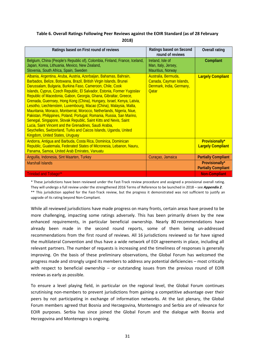#### **Table 6. Overall Ratings Following Peer Reviews against the EOIR Standard (as of 28 February 2018)**

| Ratings based on First round of reviews                                                                                                                                                                                                                                                                                                                                                                                                                                                                                                                                                                                                                                                                                                                                                                                                                                                    | Ratings based on Second<br>round of reviews                                                | <b>Overall rating</b>                             |
|--------------------------------------------------------------------------------------------------------------------------------------------------------------------------------------------------------------------------------------------------------------------------------------------------------------------------------------------------------------------------------------------------------------------------------------------------------------------------------------------------------------------------------------------------------------------------------------------------------------------------------------------------------------------------------------------------------------------------------------------------------------------------------------------------------------------------------------------------------------------------------------------|--------------------------------------------------------------------------------------------|---------------------------------------------------|
| Belgium, China (People's Republic of), Colombia, Finland, France, Iceland,<br>Japan, Korea, Lithuania, Mexico, New Zealand,<br>Slovenia, South Africa, Spain, Sweden                                                                                                                                                                                                                                                                                                                                                                                                                                                                                                                                                                                                                                                                                                                       | Ireland, Isle of<br>Man, Italy, Jersey,<br>Mauritius, Norway                               | Compliant                                         |
| Albania, Argentina, Aruba, Austria, Azerbaijan, Bahamas, Bahrain,<br>Barbados, Belize, Botswana, Brazil, British Virgin Islands, Brunei<br>Darussalam, Bulgaria, Burkina Faso, Cameroon, Chile, Cook<br>Islands, Cyprus, Czech Republic, El Salvador, Estonia, Former Yugoslav<br>Republic of Macedonia, Gabon, Georgia, Ghana, Gibraltar, Greece,<br>Grenada, Guernsey, Hong Kong (China), Hungary, Israel, Kenya, Latvia,<br>Lesotho, Liechtenstein, Luxembourg, Macao (China), Malaysia, Malta,<br>Mauritania, Monaco, Montserrat, Morocco, Netherlands, Nigeria, Niue,<br>Pakistan, Philippines, Poland, Portugal, Romania, Russia, San Marino,<br>Senegal, Singapore, Slovak Republic, Saint Kitts and Nevis, Saint<br>Lucia, Saint Vincent and the Grenadines, Saudi Arabia,<br>Seychelles, Switzerland, Turks and Caicos Islands, Uganda, United<br>Kingdom, United States, Uruguay | Australia, Bermuda,<br>Canada, Cayman Islands,<br>Denmark, India, Germany,<br><b>Oatar</b> | <b>Largely Compliant</b>                          |
| Andorra, Antigua and Barbuda, Costa Rica, Dominica, Dominican<br>Republic, Guatemala, Federated States of Micronesia, Lebanon, Nauru,<br>Panama, Samoa, United Arab Emirates, Vanuatu                                                                                                                                                                                                                                                                                                                                                                                                                                                                                                                                                                                                                                                                                                      |                                                                                            | <b>Provisionally*</b><br><b>Largely Compliant</b> |
| Anguilla, Indonesia, Sint Maarten, Turkey                                                                                                                                                                                                                                                                                                                                                                                                                                                                                                                                                                                                                                                                                                                                                                                                                                                  | Curaçao, Jamaica                                                                           | <b>Partially Compliant</b>                        |
| <b>Marshall Islands</b>                                                                                                                                                                                                                                                                                                                                                                                                                                                                                                                                                                                                                                                                                                                                                                                                                                                                    |                                                                                            | Provisionally*<br><b>Partially Compliant</b>      |
| <b>Trinidad and Tobago**</b>                                                                                                                                                                                                                                                                                                                                                                                                                                                                                                                                                                                                                                                                                                                                                                                                                                                               |                                                                                            | <b>Non-Compliant</b>                              |

\* These jurisdictions have been reviewed under the Fast-Track review procedure and assigned a provisional overall rating. They will undergo a full review under the strengthened 2016 Terms of Reference to be launched in 2018 – see *Appendix 2*. \*\* This jurisdiction applied for the Fast-Track review, but the progress it demonstrated was not sufficient to justify an upgrade of its rating beyond Non-Compliant.

While all reviewed jurisdictions have made progress on many fronts, certain areas have proved to be more challenging, impacting some ratings adversely. This has been primarily driven by the new enhanced requirements, in particular beneficial ownership. Nearly 80 recommendations have already been made in the second round reports, some of them being un-addressed recommendations from the first round of reviews. All 16 jurisdictions reviewed so far have signed the multilateral Convention and thus have a wide network of EOI agreements in place, including all relevant partners. The number of requests is increasing and the timeliness of responses is generally improving. On the basis of these preliminary observations, the Global Forum has welcomed the progress made and strongly urged its members to address any potential deficiencies – most critically with respect to beneficial ownership – or outstanding issues from the previous round of EOIR reviews as early as possible.

To ensure a level playing field, in particular on the regional level, the Global Forum continues scrutinising non-members to prevent jurisdictions from gaining a competitive advantage over their peers by not participating in exchange of information networks. At the last plenary, the Global Forum members agreed that Bosnia and Herzegovina, Montenegro and Serbia are of relevance for EOIR purposes. Serbia has since joined the Global Forum and the dialogue with Bosnia and Herzegovina and Montenegro is ongoing.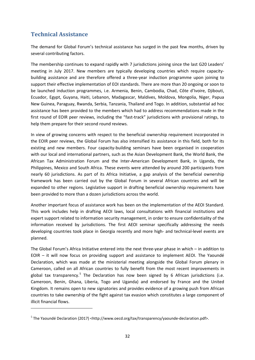## **Technical Assistance**

**.** 

The demand for Global Forum's technical assistance has surged in the past few months, driven by several contributing factors.

The membership continues to expand rapidly with 7 jurisdictions joining since the last G20 Leaders' meeting in July 2017. New members are typically developing countries which require capacitybuilding assistance and are therefore offered a three-year induction programme upon joining to support their effective implementation of EOI standards. There are more than 20 ongoing or soon to be launched induction programmes, i.e. Armenia, Benin, Cambodia, Chad, Côte d'Ivoire, Djibouti, Ecuador, Egypt, Guyana, Haiti, Lebanon, Madagascar, Maldives, Moldova, Mongolia, Niger, Papua New Guinea, Paraguay, Rwanda, Serbia, Tanzania, Thailand and Togo. In addition, substantial ad hoc assistance has been provided to the members which had to address recommendations made in the first round of EOIR peer reviews, including the "fast-track" jurisdictions with provisional ratings, to help them prepare for their second round reviews.

In view of growing concerns with respect to the beneficial ownership requirement incorporated in the EOIR peer reviews, the Global Forum has also intensified its assistance in this field, both for its existing and new members. Four capacity-building seminars have been organised in cooperation with our local and international partners, such as the Asian Development Bank, the World Bank, the African Tax Administration Forum and the Inter-American Development Bank, in Uganda, the Philippines, Mexico and South Africa. These events were attended by around 200 participants from nearly 60 jurisdictions. As part of its Africa Initiative, a gap analysis of the beneficial ownership framework has been carried out by the Global Forum in several African countries and will be expanded to other regions. Legislative support in drafting beneficial ownership requirements have been provided to more than a dozen jurisdictions across the world.

Another important focus of assistance work has been on the implementation of the AEOI Standard. This work includes help in drafting AEOI laws, local consultations with financial institutions and expert support related to information security management, in order to ensure confidentiality of the information received by jurisdictions. The first AEOI seminar specifically addressing the needs developing countries took place in Georgia recently and more high- and technical-level events are planned.

The Global Forum's Africa Initiative entered into the next three-year phase in which – in addition to EOIR – it will now focus on providing support and assistance to implement AEOI. The Yaoundé Declaration, which was made at the ministerial meeting alongside the Global Forum plenary in Cameroon, called on all African countries to fully benefit from the most recent improvements in global tax transparency.<sup>[5](#page-33-0)</sup> The Declaration has now been signed by 6 African jurisdictions (i.e. Cameroon, Benin, Ghana, Liberia, Togo and Uganda) and endorsed by France and the United Kingdom. It remains open to new signatories and provides evidence of a growing push from African countries to take ownership of the fight against tax evasion which constitutes a large component of illicit financial flows.

<span id="page-33-0"></span><sup>&</sup>lt;sup>5</sup> The Yaoundé Declaration (2017) <http://www.oecd.org/tax/transparency/yaounde-declaration.pdf>.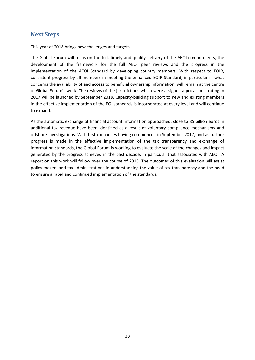#### **Next Steps**

This year of 2018 brings new challenges and targets.

The Global Forum will focus on the full, timely and quality delivery of the AEOI commitments, the development of the framework for the full AEOI peer reviews and the progress in the implementation of the AEOI Standard by developing country members. With respect to EOIR, consistent progress by all members in meeting the enhanced EOIR Standard, in particular in what concerns the availability of and access to beneficial ownership information, will remain at the centre of Global Forum's work. The reviews of the jurisdictions which were assigned a provisional rating in 2017 will be launched by September 2018. Capacity-building support to new and existing members in the effective implementation of the EOI standards is incorporated at every level and will continue to expand.

As the automatic exchange of financial account information approached, close to 85 billion euros in additional tax revenue have been identified as a result of voluntary compliance mechanisms and offshore investigations. With first exchanges having commenced in September 2017, and as further progress is made in the effective implementation of the tax transparency and exchange of information standards, the Global Forum is working to evaluate the scale of the changes and impact generated by the progress achieved in the past decade, in particular that associated with AEOI. A report on this work will follow over the course of 2018. The outcomes of this evaluation will assist policy makers and tax administrations in understanding the value of tax transparency and the need to ensure a rapid and continued implementation of the standards.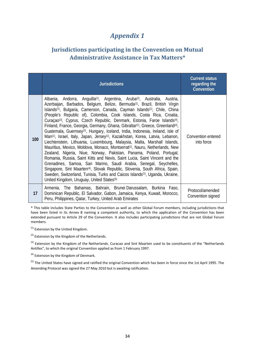## *Appendix 1*

## **Jurisdictions participating in the Convention on Mutual Administrative Assistance in Tax Matters\***

|     | <b>Jurisdictions</b>                                                                                                                                                                                                                                                                                                                                                                                                                                                                                                                                                                                                                                                                                                                                                                                                                                                                                                                                                                                                                                                                                                                                                                                                                                                                                                                                                                                                                              | <b>Current status</b><br>regarding the<br>Convention |
|-----|---------------------------------------------------------------------------------------------------------------------------------------------------------------------------------------------------------------------------------------------------------------------------------------------------------------------------------------------------------------------------------------------------------------------------------------------------------------------------------------------------------------------------------------------------------------------------------------------------------------------------------------------------------------------------------------------------------------------------------------------------------------------------------------------------------------------------------------------------------------------------------------------------------------------------------------------------------------------------------------------------------------------------------------------------------------------------------------------------------------------------------------------------------------------------------------------------------------------------------------------------------------------------------------------------------------------------------------------------------------------------------------------------------------------------------------------------|------------------------------------------------------|
| 100 | Albania, Andorra, Anguilla <sup>(1)</sup> , Argentina, Aruba <sup>(2)</sup> , Australia, Austria,<br>Azerbaijan, Barbados, Belgium, Belize, Bermuda <sup>(1)</sup> , Brazil, British Virgin<br>Islands <sup>(1)</sup> , Bulgaria, Cameroon, Canada, Cayman Islands <sup>(1)</sup> , Chile, China<br>(People's Republic of), Colombia, Cook Islands, Costa Rica, Croatia,<br>Curaçao <sup>(3)</sup> , Cyprus, Czech Republic, Denmark, Estonia, Faroe Islands <sup>(4)</sup> ,<br>Finland, France, Georgia, Germany, Ghana, Gibraltar <sup>(1)</sup> , Greece, Greenland <sup>(4)</sup> ,<br>Guatemala, Guernsey <sup>(1)</sup> , Hungary, Iceland, India, Indonesia, Ireland, Isle of<br>Man <sup>(1)</sup> , Israel, Italy, Japan, Jersey <sup>(1)</sup> , Kazakhstan, Korea, Latvia, Lebanon,<br>Liechtenstein, Lithuania, Luxembourg, Malaysia, Malta, Marshall Islands,<br>Mauritius, Mexico, Moldova, Monaco, Montserrat <sup>(1)</sup> , Nauru, Netherlands, New<br>Zealand, Nigeria, Niue, Norway, Pakistan, Panama, Poland, Portugal,<br>Romania, Russia, Saint Kitts and Nevis, Saint Lucia, Saint Vincent and the<br>Grenadines, Samoa, San Marino, Saudi Arabia, Senegal, Seychelles,<br>Singapore, Sint Maarten <sup>(4)</sup> , Slovak Republic, Slovenia, South Africa, Spain,<br>Sweden, Switzerland, Tunisia, Turks and Caicos Islands <sup>(1)</sup> , Uganda, Ukraine,<br>United Kingdom, Uruguay, United States <sup>(5)</sup> | Convention entered<br>into force                     |
| 17  | Armenia, The Bahamas, Bahrain, Brunei-Darussalam, Burkina Faso,<br>Dominican Republic, El Salvador, Gabon, Jamaica, Kenya, Kuwait, Morocco,<br>Peru, Philippines, Qatar, Turkey, United Arab Emirates                                                                                                                                                                                                                                                                                                                                                                                                                                                                                                                                                                                                                                                                                                                                                                                                                                                                                                                                                                                                                                                                                                                                                                                                                                             | Protocol/amended<br>Convention signed                |

\* This table includes State Parties to the Convention as well as other Global Forum members, including jurisdictions that have been listed in its Annex B naming a competent authority, to which the application of the Convention has been extended pursuant to Article 29 of the Convention. It also includes participating jurisdictions that are not Global Forum members.

(1) Extension by the United Kingdom.

 $(2)$  Extension by the Kingdom of the Netherlands.

 $^{(3)}$  Extension by the Kingdom of the Netherlands. Curacao and Sint Maarten used to be constituents of the "Netherlands Antilles", to which the original Convention applied as from 1 February 1997.

 $(4)$  Extension by the Kingdom of Denmark.

<sup>(5)</sup> The United States have signed and ratified the original Convention which has been in force since the 1st April 1995. The Amending Protocol was signed the 27 May 2010 but is awaiting ratification.